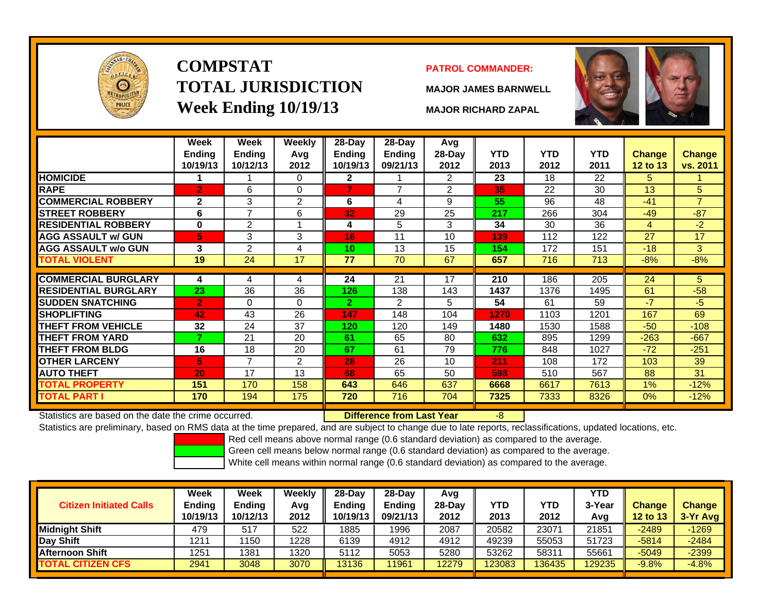

# **COMPSTATTOTAL JURISDICTIONWeek Ending 10/19/13 MAJOR RICHARD ZAPAL**

#### **PATROL COMMANDER:**

**MAJOR JAMES BARNWELL**

-8



|                             | Week<br>Ending<br>10/19/13 | Week<br>Ending<br>10/12/13 | Weekly<br>Avg<br>2012 | $28-Day$<br><b>Ending</b><br>10/19/13 | 28-Day<br>Ending<br>09/21/13 | Avg<br>28-Day<br>2012 | <b>YTD</b><br>2013 | <b>YTD</b><br>2012 | <b>YTD</b><br>2011 | <b>Change</b><br>12 to 13 | <b>Change</b><br>vs. 2011 |
|-----------------------------|----------------------------|----------------------------|-----------------------|---------------------------------------|------------------------------|-----------------------|--------------------|--------------------|--------------------|---------------------------|---------------------------|
| <b>HOMICIDE</b>             |                            |                            | $\Omega$              | $\mathbf{2}$                          |                              | 2                     | 23                 | 18                 | 22                 | 5                         |                           |
| <b>RAPE</b>                 | $\overline{2}$             | 6                          | $\Omega$              | $\overline{7}$                        | 7                            | 2                     | 35                 | 22                 | 30                 | 13                        | 5                         |
| <b>COMMERCIAL ROBBERY</b>   | $\mathbf{2}$               | 3                          | $\overline{2}$        | 6                                     | 4                            | 9                     | 55                 | 96                 | 48                 | $-41$                     | $\overline{ }$            |
| <b>STREET ROBBERY</b>       | 6                          | 7                          | 6                     | 32                                    | 29                           | 25                    | 217                | 266                | 304                | $-49$                     | $-87$                     |
| <b>RESIDENTIAL ROBBERY</b>  | $\bf{0}$                   | 2                          |                       | 4                                     | 5                            | 3                     | 34                 | 30                 | 36                 | 4                         | $-2$                      |
| <b>AGG ASSAULT w/ GUN</b>   | 15'                        | 3                          | 3                     | 16                                    | 11                           | 10                    | 139                | 112                | 122                | 27                        | 17                        |
| <b>AGG ASSAULT w/o GUN</b>  | 3                          | 2                          | 4                     | 10                                    | 13                           | 15                    | 154                | 172                | 151                | $-18$                     | 3                         |
| TOTAL VIOLENT               | 19                         | 24                         | 17                    | 77                                    | 70                           | 67                    | 657                | 716                | 713                | $-8%$                     | $-8%$                     |
|                             |                            |                            |                       |                                       |                              |                       |                    |                    |                    |                           |                           |
| <b>COMMERCIAL BURGLARY</b>  | 4                          | 4                          | 4                     | 24                                    | 21                           | 17                    | 210                | 186                | 205                | 24                        | 5                         |
| <b>RESIDENTIAL BURGLARY</b> | 23                         | 36                         | 36                    | 126                                   | 138                          | 143                   | 1437               | 1376               | 1495               | 61                        | $-58$                     |
| <b>SUDDEN SNATCHING</b>     | $\overline{2}$             | 0                          | $\Omega$              | $\overline{2}$                        | 2                            | 5                     | 54                 | 61                 | 59                 | $-7$                      | $-5$                      |
| <b>SHOPLIFTING</b>          | 42                         | 43                         | 26                    | 147                                   | 148                          | 104                   | 1270               | 1103               | 1201               | 167                       | 69                        |
| <b>THEFT FROM VEHICLE</b>   | 32                         | 24                         | 37                    | 120                                   | 120                          | 149                   | 1480               | 1530               | 1588               | $-50$                     | $-108$                    |
| <b>THEFT FROM YARD</b>      |                            | 21                         | 20                    | 61                                    | 65                           | 80                    | 632                | 895                | 1299               | $-263$                    | $-667$                    |
| <b>THEFT FROM BLDG</b>      | 16                         | 18                         | 20                    | 67                                    | 61                           | 79                    | 776                | 848                | 1027               | $-72$                     | $-251$                    |
| <b>OTHER LARCENY</b>        | 5                          | $\overline{ }$             | 2                     | 28                                    | 26                           | 10                    | 211                | 108                | 172                | 103                       | 39                        |
| <b>AUTO THEFT</b>           | 20                         | 17                         | 13                    | 68                                    | 65                           | 50                    | 598                | 510                | 567                | 88                        | 31                        |
| <b>TOTAL PROPERTY</b>       | 151                        | 170                        | 158                   | 643                                   | 646                          | 637                   | 6668               | 6617               | 7613               | $1\%$                     | $-12%$                    |
| <b>TOTAL PART I</b>         | 170                        | 194                        | 175                   | 720                                   | 716                          | 704                   | 7325               | 7333               | 8326               | $0\%$                     | $-12%$                    |

Statistics are based on the date the crime occurred. **Difference from Last Year** 

Statistics are preliminary, based on RMS data at the time prepared, and are subject to change due to late reports, reclassifications, updated locations, etc.

Red cell means above normal range (0.6 standard deviation) as compared to the average.

Green cell means below normal range (0.6 standard deviation) as compared to the average.

| <b>Citizen Initiated Calls</b> | Week<br><b>Ending</b><br>10/19/13 | <b>Week</b><br><b>Ending</b><br>10/12/13 | Weekly<br>Avg<br>2012 | $28-Dav$<br>Ending<br>10/19/13 | 28-Dav<br><b>Endina</b><br>09/21/13 | Avg<br>28-Dav<br>2012 | YTD<br>2013 | <b>YTD</b><br>2012 | <b>YTD</b><br>3-Year<br>Avg | <b>Change</b><br>12 to 13 | <b>Change</b><br>3-Yr Avg |
|--------------------------------|-----------------------------------|------------------------------------------|-----------------------|--------------------------------|-------------------------------------|-----------------------|-------------|--------------------|-----------------------------|---------------------------|---------------------------|
| <b>I</b> Midniaht Shift        | 479                               | 517                                      | 522                   | 1885                           | 1996                                | 2087                  | 20582       | 23071              | 21851                       | $-2489$                   | $-1269$                   |
| Day Shift                      | 1211                              | 1150                                     | 1228                  | 6139                           | 4912                                | 4912                  | 49239       | 55053              | 51723                       | $-5814$                   | $-2484$                   |
| <b>Afternoon Shift</b>         | 1251                              | 1381                                     | 1320                  | 5112                           | 5053                                | 5280                  | 53262       | 58311              | 55661                       | $-5049$                   | $-2399$                   |
| <b>TOTAL CITIZEN CFS</b>       | 2941                              | 3048                                     | 3070                  | 3136                           | 11961                               | 2279                  | 23083       | 136435             | 129235                      | $-9.8%$                   | $-4.8%$                   |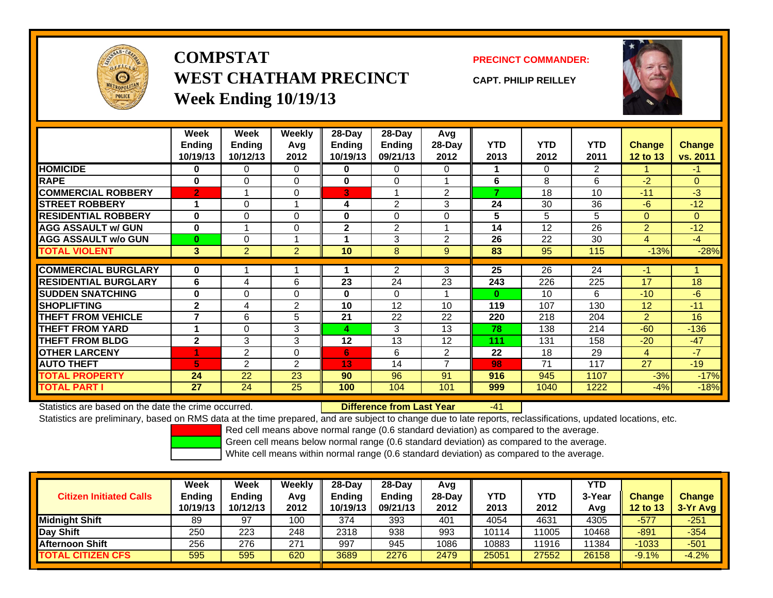

## **COMPSTATWEST CHATHAM PRECINCTWeek Ending 10/19/13**

### **PRECINCT COMMANDER:**

**CAPT. PHILIP REILLEY**



|                             | Week<br><b>Ending</b><br>10/19/13 | Week<br><b>Ending</b><br>10/12/13 | Weekly<br>Avq<br>2012 | 28-Day<br>Ending<br>10/19/13 | $28$ -Day<br>Ending<br>09/21/13 | Avg<br>$28-Day$<br>2012 | <b>YTD</b><br>2013 | <b>YTD</b><br>2012 | <b>YTD</b><br>2011 | <b>Change</b><br><b>12 to 13</b> | <b>Change</b><br>vs. 2011 |
|-----------------------------|-----------------------------------|-----------------------------------|-----------------------|------------------------------|---------------------------------|-------------------------|--------------------|--------------------|--------------------|----------------------------------|---------------------------|
| <b>HOMICIDE</b>             | 0                                 | 0                                 | 0                     | 0                            | 0                               | $\Omega$                |                    | $\Omega$           | 2                  |                                  | $-1$                      |
| <b>RAPE</b>                 | 0                                 | 0                                 | 0                     | $\bf{0}$                     | $\Omega$                        |                         | 6                  | 8                  | 6                  | -2                               | $\overline{0}$            |
| <b>COMMERCIAL ROBBERY</b>   | $\overline{2}$                    |                                   | 0                     | 3                            | 1                               | $\overline{2}$          | 7                  | 18                 | 10                 | $-11$                            | $-3$                      |
| <b>ISTREET ROBBERY</b>      | 1                                 | 0                                 |                       | 4                            | $\overline{2}$                  | 3                       | 24                 | 30                 | 36                 | $-6$                             | $-12$                     |
| <b>RESIDENTIAL ROBBERY</b>  | 0                                 | 0                                 | $\Omega$              | $\bf{0}$                     | 0                               | $\Omega$                | 5                  | 5                  | 5                  | $\Omega$                         | $\Omega$                  |
| <b>AGG ASSAULT w/ GUN</b>   | $\mathbf 0$                       |                                   | $\Omega$              | $\mathbf{2}$                 | $\overline{2}$                  |                         | 14                 | 12                 | 26                 | $\overline{2}$                   | $-12$                     |
| <b>AGG ASSAULT w/o GUN</b>  | $\bf{0}$                          | 0                                 |                       |                              | 3                               | 2                       | 26                 | 22                 | 30                 | 4                                | $-4$                      |
| <b>TOTAL VIOLENT</b>        | 3                                 | $\overline{2}$                    | $\overline{2}$        | 10                           | 8                               | 9                       | 83                 | 95                 | 115                | $-13%$                           | $-28%$                    |
|                             |                                   |                                   |                       |                              |                                 |                         |                    |                    |                    |                                  |                           |
| <b>COMMERCIAL BURGLARY</b>  | 0                                 |                                   |                       |                              | $\overline{2}$                  | 3                       | 25                 | 26                 | 24                 | $-1$                             |                           |
| <b>RESIDENTIAL BURGLARY</b> | 6                                 | 4                                 | 6                     | 23                           | 24                              | 23                      | 243                | 226                | 225                | 17                               | 18                        |
| <b>ISUDDEN SNATCHING</b>    | 0                                 | 0                                 | $\Omega$              | $\bf{0}$                     | $\Omega$                        |                         | $\bf{0}$           | 10                 | 6                  | $-10^{-}$                        | $-6$                      |
| <b>SHOPLIFTING</b>          | $\mathbf{2}$                      | 4                                 | 2                     | 10                           | 12                              | 10                      | 119                | 107                | 130                | 12                               | $-11$                     |
| <b>THEFT FROM VEHICLE</b>   | 7                                 | 6                                 | 5                     | 21                           | 22                              | 22                      | 220                | 218                | 204                | $\overline{2}$                   | 16                        |
| <b>THEFT FROM YARD</b>      | 1                                 | 0                                 | 3                     | 4                            | 3                               | 13                      | 78                 | 138                | 214                | $-60$                            | $-136$                    |
| <b>THEFT FROM BLDG</b>      | $\mathbf{2}$                      | 3                                 | 3                     | 12                           | 13                              | 12                      | 111                | 131                | 158                | $-20$                            | $-47$                     |
| <b>OTHER LARCENY</b>        |                                   | $\overline{2}$                    | $\Omega$              | 6                            | 6                               | 2                       | 22                 | 18                 | 29                 | 4                                | $-7$                      |
| <b>AUTO THEFT</b>           | 5                                 | $\overline{2}$                    | $\overline{2}$        | 13 <sub>1</sub>              | 14                              | $\overline{ }$          | 98                 | 71                 | 117                | 27                               | $-19$                     |
| <b>TOTAL PROPERTY</b>       | 24                                | 22                                | 23                    | 90                           | 96                              | 91                      | 916                | 945                | 1107               | $-3%$                            | $-17%$                    |
| <b>TOTAL PART I</b>         | 27                                | 24                                | 25                    | 100                          | 104                             | 101                     | 999                | 1040               | 1222               | $-4%$                            | $-18%$                    |

Statistics are based on the date the crime occurred. **Difference from Last Year** 

-41

Statistics are preliminary, based on RMS data at the time prepared, and are subject to change due to late reports, reclassifications, updated locations, etc.

Red cell means above normal range (0.6 standard deviation) as compared to the average.

Green cell means below normal range (0.6 standard deviation) as compared to the average.

| <b>Citizen Initiated Calls</b> | Week<br><b>Ending</b><br>10/19/13 | Week<br>Ending<br>10/12/13 | Weekly<br>Avg<br>2012 | $28-Day$<br><b>Ending</b><br>10/19/13 | $28$ -Day<br><b>Endina</b><br>09/21/13 | Avg<br>28-Dav<br>2012 | YTD<br>2013 | YTD<br>2012 | <b>YTD</b><br>3-Year<br>Avg | <b>Change</b><br>12 to 13 | <b>Change</b><br>$3-Yr$ Avg |
|--------------------------------|-----------------------------------|----------------------------|-----------------------|---------------------------------------|----------------------------------------|-----------------------|-------------|-------------|-----------------------------|---------------------------|-----------------------------|
| <b>Midnight Shift</b>          | 89                                | -97                        | 100                   | 374                                   | 393                                    | 401                   | 4054        | 4631        | 4305                        | $-577$                    | $-251$                      |
| Day Shift                      | 250                               | 223                        | 248                   | 2318                                  | 938                                    | 993                   | 10114       | 11005       | 10468                       | $-891$                    | $-354$                      |
| <b>Afternoon Shift</b>         | 256                               | 276                        | 271                   | 997                                   | 945                                    | 1086                  | 10883       | 11916       | 1384                        | $-1033$                   | -501                        |
| <b>TOTAL CITIZEN CFS</b>       | 595                               | 595                        | 620                   | 3689                                  | 2276                                   | 2479                  | 25051       | 27552       | 26158                       | $-9.1%$                   | $-4.2%$                     |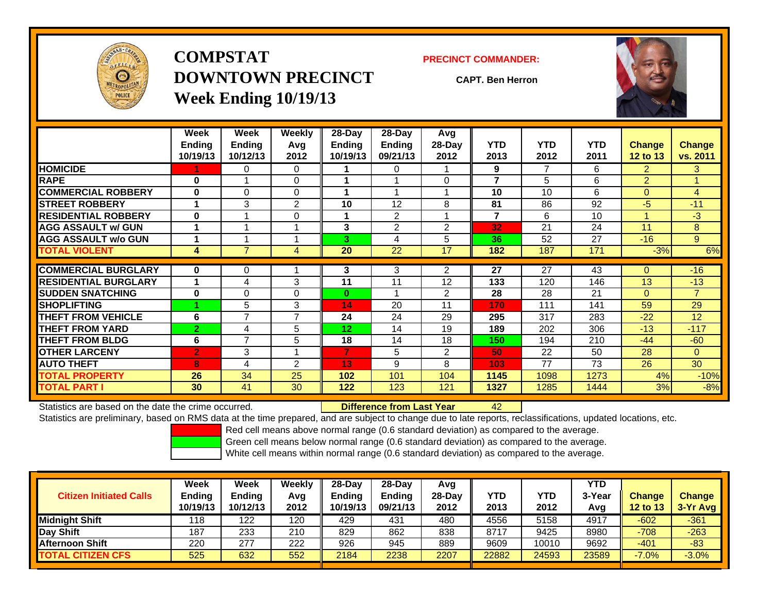

**COMPSTATDOWNTOWN PRECINCTWeek Ending 10/19/13**

#### **PRECINCT COMMANDER:**

**CAPT. Ben Herron**

42



|                             | Week<br><b>Endina</b><br>10/19/13 | Week<br><b>Ending</b><br>10/12/13 | <b>Weekly</b><br>Avq<br>2012 | 28-Day<br>Ending<br>10/19/13 | 28-Day<br><b>Endina</b><br>09/21/13 | Avg<br>28-Day<br>2012 | <b>YTD</b><br>2013       | <b>YTD</b><br>2012 | <b>YTD</b><br>2011 | <b>Change</b><br><b>12 to 13</b> | Change<br>vs. 2011 |
|-----------------------------|-----------------------------------|-----------------------------------|------------------------------|------------------------------|-------------------------------------|-----------------------|--------------------------|--------------------|--------------------|----------------------------------|--------------------|
| <b>HOMICIDE</b>             |                                   | 0                                 | $\mathbf 0$                  |                              | 0                                   |                       | 9                        | 7                  | 6                  | $\overline{2}$                   | 3.                 |
| <b>RAPE</b>                 | 0                                 |                                   | $\Omega$                     |                              |                                     | $\Omega$              | $\overline{\phantom{a}}$ | 5                  | 6                  | $\overline{2}$                   |                    |
| <b>COMMERCIAL ROBBERY</b>   | $\bf{0}$                          | 0                                 | $\Omega$                     |                              |                                     |                       | 10                       | 10                 | 6                  | $\Omega$                         | 4                  |
| <b>STREET ROBBERY</b>       | 1                                 | 3                                 | 2                            | 10                           | 12                                  | 8                     | 81                       | 86                 | 92                 | $-5$                             | $-11$              |
| <b>RESIDENTIAL ROBBERY</b>  | $\bf{0}$                          | 4                                 | $\mathbf 0$                  |                              | $\overline{2}$                      |                       | $\overline{7}$           | 6                  | 10                 | 4                                | $-3$               |
| <b>AGG ASSAULT w/ GUN</b>   | 1                                 |                                   |                              | 3                            | $\overline{2}$                      | $\overline{2}$        | 32                       | 21                 | 24                 | 11                               | 8                  |
| <b>AGG ASSAULT w/o GUN</b>  | 1                                 |                                   |                              | 3                            | 4                                   | 5                     | 36                       | 52                 | 27                 | $-16$                            | 9                  |
| <b>TOTAL VIOLENT</b>        | 4                                 | $\overline{7}$                    | 4                            | 20                           | 22                                  | 17                    | 182                      | 187                | 171                | $-3%$                            | 6%                 |
| <b>COMMERCIAL BURGLARY</b>  | $\mathbf 0$                       | 0                                 |                              | 3                            | 3                                   | $\overline{2}$        | 27                       | 27                 | 43                 | $\Omega$                         | $-16$              |
| <b>RESIDENTIAL BURGLARY</b> | 1                                 | 4                                 | 3                            | 11                           | 11                                  | 12                    | 133                      | 120                | 146                | 13                               | $-13$              |
| <b>SUDDEN SNATCHING</b>     | $\mathbf 0$                       | 0                                 | $\Omega$                     | $\bf{0}$                     |                                     | $\overline{2}$        | 28                       | 28                 | 21                 | $\Omega$                         | $\overline{7}$     |
| <b>SHOPLIFTING</b>          |                                   | 5                                 | 3                            | 14                           | 20                                  | 11                    | 170                      | 111                | 141                | 59                               | 29                 |
| <b>THEFT FROM VEHICLE</b>   | 6                                 | $\overline{7}$                    | $\overline{7}$               | 24                           | 24                                  | 29                    | 295                      | 317                | 283                | $-22$                            | 12                 |
| <b>THEFT FROM YARD</b>      | $\overline{2}$                    | 4                                 | 5                            | 12 <sub>2</sub>              | 14                                  | 19                    | 189                      | 202                | 306                | $-13$                            | $-117$             |
| <b>THEFT FROM BLDG</b>      | 6                                 | 7                                 | 5                            | 18                           | 14                                  | 18                    | 150                      | 194                | 210                | $-44$                            | $-60$              |
| <b>OTHER LARCENY</b>        | $\overline{2}$                    | 3                                 |                              | 7                            | 5                                   | $\overline{2}$        | 50                       | 22                 | 50                 | 28                               | 0                  |
| <b>AUTO THEFT</b>           | 8                                 | 4                                 | 2                            | 13                           | 9                                   | 8                     | 103                      | 77                 | 73                 | 26                               | 30                 |
|                             |                                   | 34                                |                              |                              |                                     |                       |                          |                    |                    |                                  |                    |
| <b>TOTAL PROPERTY</b>       | 26                                |                                   | 25                           | 102                          | 101                                 | 104                   | 1145                     | 1098               | 1273               | 4%                               | $-10%$             |
| <b>TOTAL PART I</b>         | 30                                | 41                                | 30                           | 122                          | 123                                 | 121                   | 1327                     | 1285               | 1444               | 3%                               | $-8%$              |

Statistics are based on the date the crime occurred. **Difference from Last Year** 

Statistics are preliminary, based on RMS data at the time prepared, and are subject to change due to late reports, reclassifications, updated locations, etc.

Red cell means above normal range (0.6 standard deviation) as compared to the average.

Green cell means below normal range (0.6 standard deviation) as compared to the average.

| <b>Citizen Initiated Calls</b> | Week<br><b>Ending</b><br>10/19/13 | Week<br><b>Ending</b><br>10/12/13 | Weekly<br>Avg<br>2012 | $28-Day$<br><b>Ending</b><br>10/19/13 | 28-Day<br><b>Ending</b><br>09/21/13 | Avg<br>28-Dav<br>2012 | YTD<br>2013 | YTD<br>2012 | <b>YTD</b><br>3-Year<br>Avg | <b>Change</b><br>12 to 13 | <b>Change</b><br>$3-Yr$ Avg |
|--------------------------------|-----------------------------------|-----------------------------------|-----------------------|---------------------------------------|-------------------------------------|-----------------------|-------------|-------------|-----------------------------|---------------------------|-----------------------------|
| <b>Midnight Shift</b>          | 118                               | 122                               | 120                   | 429                                   | 431                                 | 480                   | 4556        | 5158        | 4917                        | $-602$                    | $-361$                      |
| Day Shift                      | 187                               | 233                               | 210                   | 829                                   | 862                                 | 838                   | 8717        | 9425        | 8980                        | $-708$                    | $-263$                      |
| <b>Afternoon Shift</b>         | 220                               | 277                               | 222                   | 926                                   | 945                                 | 889                   | 9609        | 10010       | 9692                        | $-401$                    | $-83$                       |
| <b>TOTAL CITIZEN CFS</b>       | 525                               | 632                               | 552                   | 2184                                  | 2238                                | 2207                  | 22882       | 24593       | 23589                       | $-7.0%$                   | $-3.0%$                     |
|                                |                                   |                                   |                       |                                       |                                     |                       |             |             |                             |                           |                             |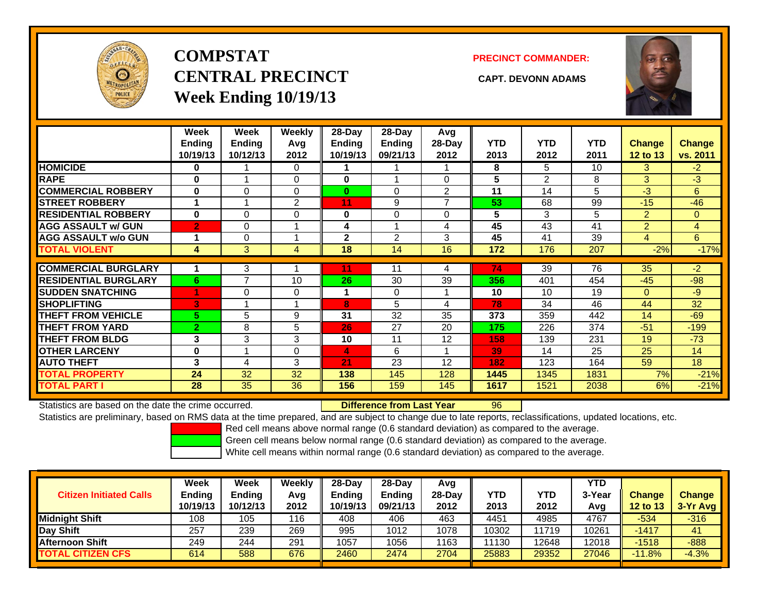

# **COMPSTATCENTRAL PRECINCT CAPT. DEVONN ADAMSWeek Ending 10/19/13**

#### **PRECINCT COMMANDER:**



|                             | Week<br><b>Ending</b><br>10/19/13 | Week<br><b>Ending</b><br>10/12/13 | Weekly<br>Avg<br>2012 | 28-Day<br>Ending<br>10/19/13 | $28$ -Day<br>Ending<br>09/21/13 | Avg<br>$28$ -Day<br>2012 | <b>YTD</b><br>2013 | <b>YTD</b><br>2012 | <b>YTD</b><br>2011 | <b>Change</b><br><b>12 to 13</b> | <b>Change</b><br>vs. 2011 |
|-----------------------------|-----------------------------------|-----------------------------------|-----------------------|------------------------------|---------------------------------|--------------------------|--------------------|--------------------|--------------------|----------------------------------|---------------------------|
| <b>HOMICIDE</b>             | $\bf{0}$                          |                                   | 0                     |                              |                                 |                          | 8                  | 5                  | 10                 | 3                                | $-2$                      |
| <b>RAPE</b>                 | $\bf{0}$                          |                                   | 0                     | $\bf{0}$                     |                                 | $\Omega$                 | 5                  | $\mathfrak{p}$     | 8                  | 3                                | $-3$                      |
| <b>COMMERCIAL ROBBERY</b>   | $\bf{0}$                          | 0                                 | $\Omega$              | $\bf{0}$                     | $\Omega$                        | $\overline{2}$           | 11                 | 14                 | 5                  | $-3$                             | 6                         |
| <b>STREET ROBBERY</b>       | $\mathbf{1}$                      |                                   | $\overline{2}$        | 11                           | 9                               | $\overline{7}$           | 53                 | 68                 | 99                 | $-15$                            | $-46$                     |
| <b>RESIDENTIAL ROBBERY</b>  | $\bf{0}$                          | $\Omega$                          | 0                     | $\bf{0}$                     | $\Omega$                        | $\Omega$                 | 5                  | 3                  | 5                  | 2                                | $\Omega$                  |
| <b>AGG ASSAULT w/ GUN</b>   | $\overline{2}$                    | 0                                 |                       | 4                            |                                 | 4                        | 45                 | 43                 | 41                 | $\overline{2}$                   | 4                         |
| <b>AGG ASSAULT w/o GUN</b>  |                                   | 0                                 |                       | 2                            | $\overline{2}$                  | 3                        | 45                 | 41                 | 39                 | 4                                | 6                         |
| <b>TOTAL VIOLENT</b>        | 4                                 | 3                                 | 4                     | 18                           | 14                              | 16                       | 172                | 176                | 207                | $-2%$                            | $-17%$                    |
|                             |                                   |                                   |                       |                              |                                 |                          |                    |                    |                    |                                  |                           |
| <b>COMMERCIAL BURGLARY</b>  |                                   | 3                                 |                       | 11                           | 11                              | 4                        | 74                 | 39                 | 76                 | 35                               | $-2$                      |
| <b>RESIDENTIAL BURGLARY</b> | 6                                 | $\overline{ }$                    | 10                    | 26                           | 30                              | 39                       | 356                | 401                | 454                | $-45$                            | $-98$                     |
| <b>SUDDEN SNATCHING</b>     |                                   | 0                                 | 0                     |                              | $\Omega$                        |                          | 10                 | 10                 | 19                 | $\Omega$                         | $-9$                      |
| <b>SHOPLIFTING</b>          | 3                                 |                                   |                       | 8                            | 5                               | 4                        | 78                 | 34                 | 46                 | 44                               | 32                        |
| <b>THEFT FROM VEHICLE</b>   | 5.                                | 5                                 | 9                     | 31                           | 32                              | 35                       | 373                | 359                | 442                | 14                               | $-69$                     |
| <b>THEFT FROM YARD</b>      | $\overline{2}$                    | 8                                 | 5                     | 26                           | 27                              | 20                       | 175                | 226                | 374                | $-51$                            | $-199$                    |
| <b>THEFT FROM BLDG</b>      | 3                                 | 3                                 | 3                     | 10                           | 11                              | 12                       | 158                | 139                | 231                | 19                               | $-73$                     |
| <b>OTHER LARCENY</b>        | $\bf{0}$                          |                                   | $\Omega$              | 4                            | 6                               |                          | 39                 | 14                 | 25                 | 25                               | 14                        |
| <b>AUTO THEFT</b>           | 3                                 | 4                                 | 3                     | 21                           | 23                              | 12                       | 182                | 123                | 164                | 59                               | 18                        |
| <b>TOTAL PROPERTY</b>       | 24                                | 32                                | 32                    | 138                          | 145                             | 128                      | 1445               | 1345               | 1831               | 7%                               | $-21%$                    |
| <b>TOTAL PART I</b>         | 28                                | 35                                | 36                    | 156                          | 159                             | 145                      | 1617               | 1521               | 2038               | 6%                               | $-21%$                    |

Statistics are based on the date the crime occurred. **Difference from Last Year** 

96

Statistics are preliminary, based on RMS data at the time prepared, and are subject to change due to late reports, reclassifications, updated locations, etc.

Red cell means above normal range (0.6 standard deviation) as compared to the average.

Green cell means below normal range (0.6 standard deviation) as compared to the average.

| <b>Citizen Initiated Calls</b> | <b>Week</b><br><b>Ending</b><br>10/19/13 | Week<br><b>Ending</b><br>10/12/13 | Weekly<br>Avg<br>2012 | $28-Dav$<br><b>Ending</b><br>10/19/13 | $28-Dav$<br><b>Ending</b><br>09/21/13 | Avg<br>$28-Dav$<br>2012 | YTD<br>2013 | <b>YTD</b><br>2012 | <b>YTD</b><br>3-Year<br>Avg | <b>Change</b><br><b>12 to 13</b> | <b>Change</b><br>3-Yr Avg |
|--------------------------------|------------------------------------------|-----------------------------------|-----------------------|---------------------------------------|---------------------------------------|-------------------------|-------------|--------------------|-----------------------------|----------------------------------|---------------------------|
| Midnight Shift                 | 108                                      | 105                               | 116                   | 408                                   | 406                                   | 463                     | 4451        | 4985               | 4767                        | $-534$                           | $-316$                    |
| Day Shift                      | 257                                      | 239                               | 269                   | 995                                   | 1012                                  | 1078                    | 10302       | 11719              | 10261                       | $-1417$                          | 41                        |
| <b>Afternoon Shift</b>         | 249                                      | 244                               | 291                   | 1057                                  | 1056                                  | 1163                    | 11130       | 12648              | 12018                       | $-1518$                          | $-888$                    |
| <b>TOTAL CITIZEN CFS</b>       | 614                                      | 588                               | 676                   | 2460                                  | 2474                                  | 2704                    | 25883       | 29352              | 27046                       | $-11.8%$                         | $-4.3%$                   |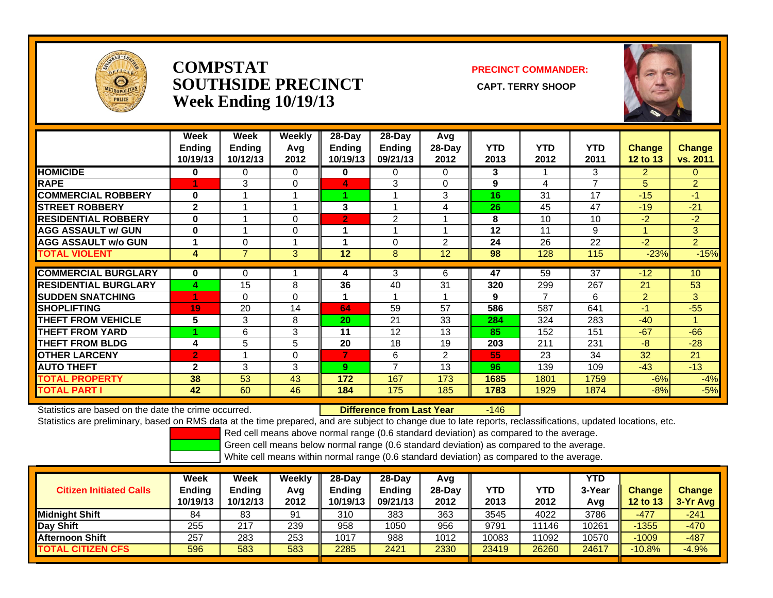

## **COMPSTATSOUTHSIDE PRECINCT** CAPT. TERRY SHOOP **Week Ending 10/19/13**

**PRECINCT COMMANDER:**



|                             | Week<br><b>Ending</b><br>10/19/13 | Week<br>Ending<br>10/12/13 | Weekly<br>Avg<br>2012 | $28$ -Day<br>Ending<br>10/19/13 | $28$ -Day<br><b>Ending</b><br>09/21/13 | Avg<br>$28-Day$<br>2012 | <b>YTD</b><br>2013 | <b>YTD</b><br>2012 | <b>YTD</b><br>2011 | <b>Change</b><br>12 to 13 | <b>Change</b><br>vs. 2011 |
|-----------------------------|-----------------------------------|----------------------------|-----------------------|---------------------------------|----------------------------------------|-------------------------|--------------------|--------------------|--------------------|---------------------------|---------------------------|
| <b>HOMICIDE</b>             | 0                                 | 0                          | 0                     | 0                               | 0                                      | 0                       | 3                  |                    | 3                  | 2                         | 0                         |
| <b>RAPE</b>                 |                                   | 3                          | 0                     | 4                               | 3                                      | $\Omega$                | 9                  | 4                  | $\overline{ }$     | 5                         | $\overline{2}$            |
| <b>COMMERCIAL ROBBERY</b>   | 0                                 |                            |                       |                                 |                                        | 3                       | 16                 | 31                 | 17                 | $-15$                     | $-1$                      |
| <b>STREET ROBBERY</b>       | $\overline{2}$                    |                            |                       | 3                               |                                        | 4                       | 26                 | 45                 | 47                 | $-19$                     | $-21$                     |
| <b>RESIDENTIAL ROBBERY</b>  | $\bf{0}$                          |                            | 0                     | $\overline{2}$                  | 2                                      |                         | 8                  | 10                 | 10                 | $-2$                      | $-2$                      |
| <b>AGG ASSAULT w/ GUN</b>   | 0                                 |                            | 0                     |                                 |                                        | и                       | 12                 | 11                 | 9                  | 1                         | 3                         |
| <b>AGG ASSAULT w/o GUN</b>  | 1                                 | 0                          |                       |                                 | 0                                      | 2                       | 24                 | 26                 | 22                 | $-2$                      | 2 <sup>1</sup>            |
| <b>TOTAL VIOLENT</b>        | 4                                 | $\overline{7}$             | 3                     | 12                              | 8                                      | 12                      | 98                 | 128                | 115                | $-23%$                    | $-15%$                    |
|                             |                                   |                            |                       |                                 |                                        |                         |                    |                    |                    |                           |                           |
| <b>COMMERCIAL BURGLARY</b>  | 0                                 | 0                          |                       | 4                               | 3                                      | 6                       | 47                 | 59                 | 37                 | $-12$                     | 10 <sup>°</sup>           |
| <b>RESIDENTIAL BURGLARY</b> | 4                                 | 15                         | 8                     | 36                              | 40                                     | 31                      | 320                | 299                | 267                | 21                        | 53                        |
| <b>SUDDEN SNATCHING</b>     |                                   | 0                          | $\Omega$              |                                 | $\overline{\mathbf{A}}$                |                         | 9                  | $\overline{ }$     | 6                  | 2                         | 3                         |
| <b>SHOPLIFTING</b>          | 19                                | 20                         | 14                    | 64                              | 59                                     | 57                      | 586                | 587                | 641                | $-1$                      | $-55$                     |
| <b>THEFT FROM VEHICLE</b>   | 5                                 | 3                          | 8                     | 20                              | 21                                     | 33                      | 284                | 324                | 283                | $-40$                     |                           |
| <b>THEFT FROM YARD</b>      |                                   | 6                          | 3                     | 11                              | 12                                     | 13                      | 85                 | 152                | 151                | $-67$                     | $-66$                     |
| <b>THEFT FROM BLDG</b>      | 4                                 | 5                          | 5                     | 20                              | 18                                     | 19                      | 203                | 211                | 231                | -8                        | $-28$                     |
| <b>OTHER LARCENY</b>        | $\overline{2}$                    |                            | 0                     | 7                               | 6                                      | $\overline{2}$          | 55                 | 23                 | 34                 | 32                        | 21                        |
| <b>AUTO THEFT</b>           | $\mathbf{2}$                      | 3                          | 3                     | 9                               | $\overline{7}$                         | 13                      | 96                 | 139                | 109                | $-43$                     | $-13$                     |
| <b>TOTAL PROPERTY</b>       | 38                                | 53                         | 43                    | 172                             | 167                                    | 173                     | 1685               | 1801               | 1759               | $-6%$                     | $-4%$                     |
| <b>TOTAL PART I</b>         | 42                                | 60                         | 46                    | 184                             | 175                                    | 185                     | 1783               | 1929               | 1874               | $-8%$                     | $-5%$                     |

Statistics are based on the date the crime occurred. **Difference from Last Year** 

r - 146

Statistics are preliminary, based on RMS data at the time prepared, and are subject to change due to late reports, reclassifications, updated locations, etc.

Red cell means above normal range (0.6 standard deviation) as compared to the average.

Green cell means below normal range (0.6 standard deviation) as compared to the average.

| <b>Citizen Initiated Calls</b> | Week<br><b>Ending</b><br>10/19/13 | Week<br><b>Ending</b><br>10/12/13 | Weekly<br>Avg<br>2012 | $28-Day$<br><b>Ending</b><br>10/19/13 | $28$ -Dav<br>Ending<br>09/21/13 | Avg<br>$28-Dav$<br>2012 | YTD<br>2013 | YTD<br>2012 | <b>YTD</b><br>3-Year<br>Avg | <b>Change</b><br><b>12 to 13</b> | <b>Change</b><br>3-Yr Avg |
|--------------------------------|-----------------------------------|-----------------------------------|-----------------------|---------------------------------------|---------------------------------|-------------------------|-------------|-------------|-----------------------------|----------------------------------|---------------------------|
| <b>I</b> Midniaht Shift        | 84                                | 83                                | 91                    | 310                                   | 383                             | 363                     | 3545        | 4022        | 3786                        | $-477$                           | $-241$                    |
| Day Shift                      | 255                               | 217                               | 239                   | 958                                   | 1050                            | 956                     | 9791        | 11146       | 10261                       | $-1355$                          | $-470$                    |
| <b>Afternoon Shift</b>         | 257                               | 283                               | 253                   | 1017                                  | 988                             | 1012                    | 10083       | 11092       | 10570                       | $-1009$                          | $-487$                    |
| <b>TOTAL CITIZEN CFS</b>       | 596                               | 583                               | 583                   | 2285                                  | 2421                            | 2330                    | 23419       | 26260       | 24617                       | $-10.8%$                         | $-4.9%$                   |